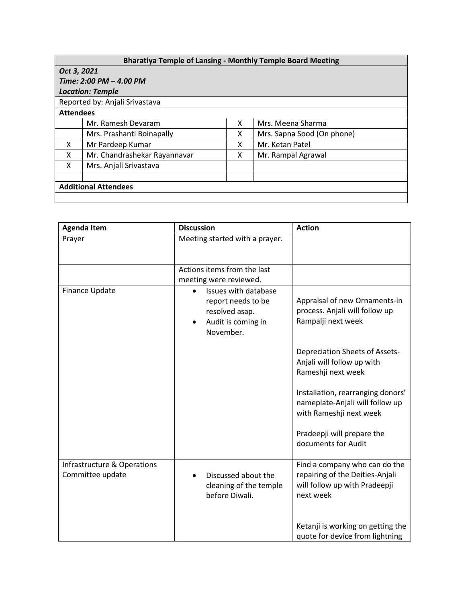## **Bharatiya Temple of Lansing - Monthly Temple Board Meeting**

| Oct 3, 2021             |
|-------------------------|
| Time: 2:00 PM – 4.00 PM |

## **Location: Temple**<br>**Reported by: Anja**

and Alexandrich Contractor Contractor and Contractor and Contractor and Contractor and Contractor and Contract<br>Contractor and Contractor and Contractor and Contractor and Contractor and Contractor and Contractor and Contr

|  | керогтеа by: Anja |  |  |
|--|-------------------|--|--|
|  |                   |  |  |

| Reported by, Alijali S |  |  |
|------------------------|--|--|
| $A+++A$                |  |  |

| <b>Attendees</b>            |                              |   |                            |
|-----------------------------|------------------------------|---|----------------------------|
|                             | Mr. Ramesh Devaram           |   | Mrs. Meena Sharma          |
|                             | Mrs. Prashanti Boinapally    | х | Mrs. Sapna Sood (On phone) |
| X                           | Mr Pardeep Kumar             |   | Mr. Ketan Patel            |
| X                           | Mr. Chandrashekar Rayannavar |   | Mr. Rampal Agrawal         |
| X                           | Mrs. Anjali Srivastava       |   |                            |
|                             |                              |   |                            |
| <b>Additional Attendees</b> |                              |   |                            |
|                             |                              |   |                            |

| <b>Agenda Item</b>                              | <b>Discussion</b>                                                                                                         | <b>Action</b>                                                                                                  |
|-------------------------------------------------|---------------------------------------------------------------------------------------------------------------------------|----------------------------------------------------------------------------------------------------------------|
| Prayer                                          | Meeting started with a prayer.                                                                                            |                                                                                                                |
|                                                 | Actions items from the last<br>meeting were reviewed.                                                                     |                                                                                                                |
| Finance Update                                  | Issues with database<br>$\bullet$<br>report needs to be<br>resolved asap.<br>Audit is coming in<br>$\bullet$<br>November. | Appraisal of new Ornaments-in<br>process. Anjali will follow up<br>Rampalji next week                          |
|                                                 |                                                                                                                           | <b>Depreciation Sheets of Assets-</b><br>Anjali will follow up with<br>Rameshji next week                      |
|                                                 |                                                                                                                           | Installation, rearranging donors'<br>nameplate-Anjali will follow up<br>with Rameshji next week                |
|                                                 |                                                                                                                           | Pradeepji will prepare the<br>documents for Audit                                                              |
| Infrastructure & Operations<br>Committee update | Discussed about the<br>cleaning of the temple<br>before Diwali.                                                           | Find a company who can do the<br>repairing of the Deities-Anjali<br>will follow up with Pradeepji<br>next week |
|                                                 |                                                                                                                           | Ketanji is working on getting the<br>quote for device from lightning                                           |